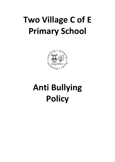# **Two Village C of E Primary School**



# **Anti Bullying Policy**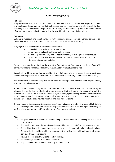

*Two Village Church of England Primary School* 

### **Anti - Bullying Policy**

#### **Rationale**

Bullying at school can have a profound effect on children's lives and can have a lasting effect on them into adulthood. It can undermine their self-esteem and self- confidence and often result in them becoming bullies themselves. The policy on Anti-Bullying has been drawn up within the school's ethos of promoting positive behaviour and giving due consideration to our Christian values.

#### **Definition**

Bullying is repeated anti-social behaviour with malicious intent, (physical, verbal, psychological) repeatedly aimed at one or more children which is unacceptable to the victim(s).

Bullying can take many forms but three main types are:

- physical hitting, kicking, taking belongings
- verbal name-calling, insulting or racist remarks
- indirect spreading nasty stories about someone, excluding from social groups.
- Cyber: sending nasty or threatening texts, emails by phone, picture/video clip, internet chat rooms or websites

Cyber bullying can be defined as the use of '*Information and Communications Technology (ICT), particularly mobile phones and the internet, deliberately to upset someone else.'* 

Cyber bullying differs from other forms of bullying in that it can take place at any time and can invade previously safe places such as the home. The audience can be very large and reached very quickly.

The perpetrator of cyber bullying may never be in the same physical space as their target and may attempt to remain anonymous.

Some incidents of cyber bullying are quite unintentional as pictures or texts can be sent as a joke without the sender truly understanding the impact of their actions or the speed at which the information can be shared outside the friendship group. Many cyber bullying incidents can themselves act as evidence and it is important that in all settings where there are children, young people and technology, all adults know how to minimise and deal with incidents.

Through observation we recognise that there are times and areas where bullying is more likely to take place. The playground, toilets, and corridors are places where children could be subject to bullying. All staff, teaching and support staff, must be aware of this and are vigilant.

#### **Aims**

- To give children a common understanding of what constitutes bullying and that it is unacceptable.
- To give children the understanding and the confidence to say, "No," to incidences of bullying.
- To instil in children the understanding that they will be listened to by all the adults in school.
- To provide the children with an environment in which they will feel safe and secure, particularly in a social setting.
- To give children the strategies to combat bullying.
- To encourage 'victims' to be more self-assertive.
- To give 'bullies' opportunities to modify their behaviour.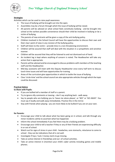

#### **Strategies**

Activities which can be used to raise pupil awareness

- The issue of bullying will be brought out into the open.
- Assemblies may be a forum through which the issue of bullying will be raised.
- All parents will be advised on what school feels constitutes bullying and be brought into school at the earliest possible convenience should their child be involved in bullying or be a victim of bullying.
- The parents of new entrants will be given a copy of the anti-bullying policy.
- Children involved in the School Council will have the opportunities to discuss their own and their class' point of view in any revision of the bullying policy.
- Staff will listen to the victim provide time in a non-threatening environment.
- Children will be assured that staff will deal with the situation in a sympathetic and sensitive manner.
- Children will be assured that they will be listened to and not dismissed out of hand.
- An incident log is kept where anything of concern is noted. The Headteacher will take any action that is appropriate.
- Parents will be advised and be encouraged to discuss problems with members of the teaching staff and the Headteacher.
- Mid-day assistants will meet with the Deputy Headteacher once every half term to discuss lunch time issues and will have opportunities for training.
- Areas of the curriculum give opportunities in which to tackle the issue of bullying.
- Class 'circle-time' and the school council are also appropriate vehicles through which the topic could be discussed.

#### **Practical Advice**

#### **to Share with Pupils:**

- If you are bullied tell a member of staff or a parent.
- Try to ignore silly comments or teasing don't say anything back walk away.
- Say to people who are bullying you to 'leave me alone please', or 'NO!' or 'GO AWAY'. You must say it loudly and walk away immediately. Practice this in the mirror.
- Stay with friends when playing you are more likely to be bullied if you are on your own.

#### **for Parents:**

- Encourage your child to talk about what has been going on in school, and talk through any minor incidents calmly to ascertain what has happened.
- Inform the school immediately if you feel there may be a bullying problem.
- Encourage your child to tell a teacher if they or any of their friends are experiencing difficulty in or out of school.
- Watch out for signs of stress in your child headaches, sore stomachs, reluctance to come to school - they can be indications that all is not well.
- Investigate if toys / tuck / money starts to go missing.
- Take an active interest in friendships and out -of-school activities.
- Take an active interest in (monitor) your child's cyber activity including games and mobile phones.